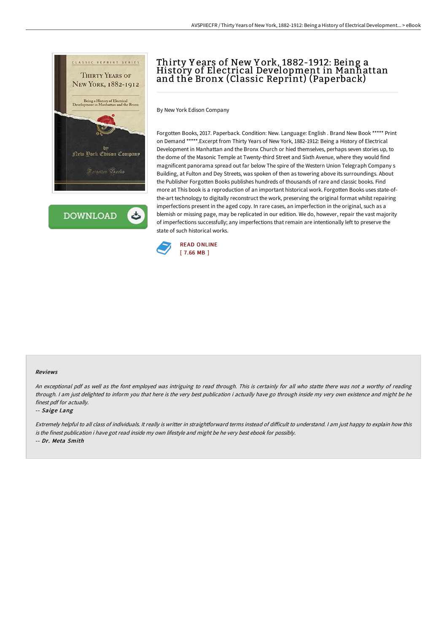

**DOWNLOAD** 

## Thirty Y ears of New Y ork, 1882-1912: Being a History of Electrical Development in Manhattan and the Bronx (Classic Reprint) (Paperback)

By New York Edison Company

Forgotten Books, 2017. Paperback. Condition: New. Language: English . Brand New Book \*\*\*\*\* Print on Demand \*\*\*\*\*.Excerpt from Thirty Years of New York, 1882-1912: Being a History of Electrical Development in Manhattan and the Bronx Church or hied themselves, perhaps seven stories up, to the dome of the Masonic Temple at Twenty-third Street and Sixth Avenue, where they would find magnificent panorama spread out far below The spire of the Western Union Telegraph Company s Building, at Fulton and Dey Streets, was spoken of then as towering above its surroundings. About the Publisher Forgotten Books publishes hundreds of thousands of rare and classic books. Find more at This book is a reproduction of an important historical work. Forgotten Books uses state-ofthe-art technology to digitally reconstruct the work, preserving the original format whilst repairing imperfections present in the aged copy. In rare cases, an imperfection in the original, such as a blemish or missing page, may be replicated in our edition. We do, however, repair the vast majority of imperfections successfully; any imperfections that remain are intentionally left to preserve the state of such historical works.



## Reviews

An exceptional pdf as well as the font employed was intriguing to read through. This is certainly for all who statte there was not <sup>a</sup> worthy of reading through. <sup>I</sup> am just delighted to inform you that here is the very best publication i actually have go through inside my very own existence and might be he finest pdf for actually.

## -- Saige Lang

Extremely helpful to all class of individuals. It really is writter in straightforward terms instead of difficult to understand. I am just happy to explain how this is the finest publication i have got read inside my own lifestyle and might be he very best ebook for possibly. -- Dr. Meta Smith